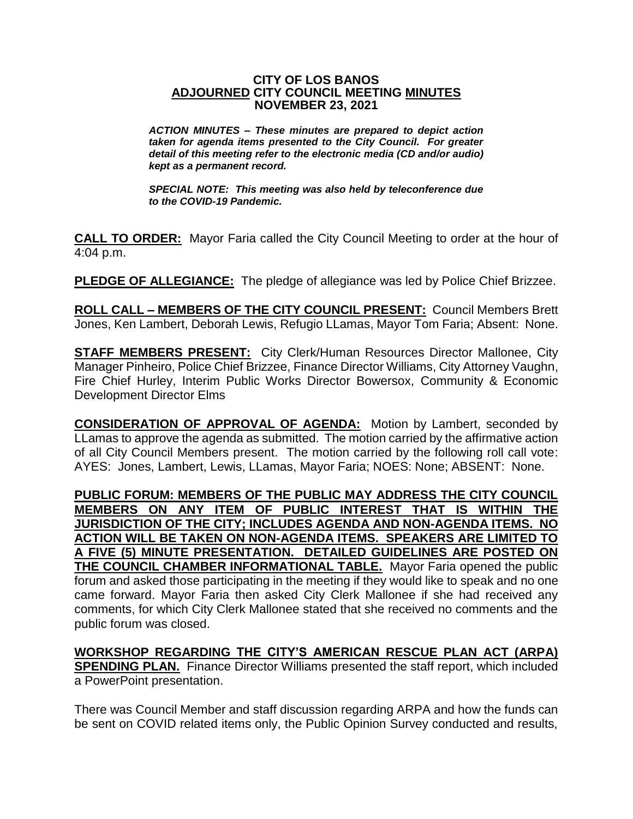## **CITY OF LOS BANOS ADJOURNED CITY COUNCIL MEETING MINUTES NOVEMBER 23, 2021**

*ACTION MINUTES – These minutes are prepared to depict action taken for agenda items presented to the City Council. For greater detail of this meeting refer to the electronic media (CD and/or audio) kept as a permanent record.*

*SPECIAL NOTE: This meeting was also held by teleconference due to the COVID-19 Pandemic.*

**CALL TO ORDER:** Mayor Faria called the City Council Meeting to order at the hour of 4:04 p.m.

**PLEDGE OF ALLEGIANCE:** The pledge of allegiance was led by Police Chief Brizzee.

**ROLL CALL – MEMBERS OF THE CITY COUNCIL PRESENT:** Council Members Brett Jones, Ken Lambert, Deborah Lewis, Refugio LLamas, Mayor Tom Faria; Absent: None.

**STAFF MEMBERS PRESENT:** City Clerk/Human Resources Director Mallonee, City Manager Pinheiro, Police Chief Brizzee, Finance Director Williams, City Attorney Vaughn, Fire Chief Hurley, Interim Public Works Director Bowersox, Community & Economic Development Director Elms

**CONSIDERATION OF APPROVAL OF AGENDA:** Motion by Lambert, seconded by LLamas to approve the agenda as submitted. The motion carried by the affirmative action of all City Council Members present. The motion carried by the following roll call vote: AYES: Jones, Lambert, Lewis, LLamas, Mayor Faria; NOES: None; ABSENT: None.

**PUBLIC FORUM: MEMBERS OF THE PUBLIC MAY ADDRESS THE CITY COUNCIL MEMBERS ON ANY ITEM OF PUBLIC INTEREST THAT IS WITHIN THE JURISDICTION OF THE CITY; INCLUDES AGENDA AND NON-AGENDA ITEMS. NO ACTION WILL BE TAKEN ON NON-AGENDA ITEMS. SPEAKERS ARE LIMITED TO A FIVE (5) MINUTE PRESENTATION. DETAILED GUIDELINES ARE POSTED ON THE COUNCIL CHAMBER INFORMATIONAL TABLE.** Mayor Faria opened the public forum and asked those participating in the meeting if they would like to speak and no one came forward. Mayor Faria then asked City Clerk Mallonee if she had received any comments, for which City Clerk Mallonee stated that she received no comments and the public forum was closed.

**WORKSHOP REGARDING THE CITY'S AMERICAN RESCUE PLAN ACT (ARPA) SPENDING PLAN.** Finance Director Williams presented the staff report, which included a PowerPoint presentation.

There was Council Member and staff discussion regarding ARPA and how the funds can be sent on COVID related items only, the Public Opinion Survey conducted and results,